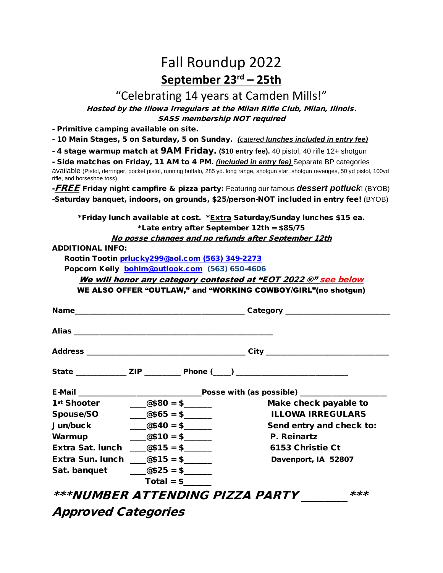# Fall Roundup 2022 **September 23 rd – 25th**

## "Celebrating 14 years at Camden Mills!"

Hosted by the Illowa Irregulars at the Milan Rifle Club, Milan, Ilinois.

SASS membership NOT required

- Primitive camping available on site.

- 10 Main Stages, 5 on Saturday, 5 on Sunday. *(catered lunches included in entry fee)*

- 4 stage warmup match at 9AM Friday. **(\$10 entry fee).** 40 pistol, 40 rifle 12+ shotgun

- Side matches on Friday, 11 AM to 4 PM. *(included in entry fee)* Separate BP categories available (Pistol, derringer, pocket pistol, running buffalo, 285 yd. long range, shotgun star, shotgun revenges, 50 yd pistol, 100yd rifle, and horseshoe toss)

-FREE Friday night campfire & pizza party: Featuring our famous *dessert potluck*! (BYOB) -Saturday banquet, indoors, on grounds, \$25/person-NOT included in entry fee! (BYOB)

\*Friday lunch available at cost. \**Extra* Saturday/Sunday lunches \$15 ea. \*Late entry after September 12th = \$85/75

No posse changes and no refunds after September 12th

ADDITIONAL INFO:

Rootin Tootin [prlucky299@aol.com \(563\)](mailto:prlucky299@aol.com%20(563)) 349-2273

Popcorn Kelly [bohlm@outlook.com](mailto:bohlm@outlook.com) (563) 650-4606

We will honor any category contested at "EOT 2022 ®" see below

WE ALSO OFFER "OUTLAW," and "WORKING COWBOY/GIRL"(no shotgun)

|        |                                                                                                                                                                                                                                                                                                                     | State _______________ ZIP _____________ Phone (____) ___________________________ |
|--------|---------------------------------------------------------------------------------------------------------------------------------------------------------------------------------------------------------------------------------------------------------------------------------------------------------------------|----------------------------------------------------------------------------------|
|        |                                                                                                                                                                                                                                                                                                                     |                                                                                  |
|        |                                                                                                                                                                                                                                                                                                                     | Make check payable to                                                            |
|        | Spouse/SO $\qquad \qquad \boxed{\quad \textcircled{\tiny 465}} = \textcircled{\tiny 5} \boxed{\quad \textcircled{\tiny 1}}$                                                                                                                                                                                         | <b>ILLOWA IRREGULARS</b>                                                         |
|        | Jun/buck $@40 = $$                                                                                                                                                                                                                                                                                                  | Send entry and check to:                                                         |
| Warmup | $\frac{1}{2}$ $\frac{1}{2}$ $\frac{1}{2}$ $\frac{1}{2}$ $\frac{1}{2}$ $\frac{1}{2}$ $\frac{1}{2}$ $\frac{1}{2}$ $\frac{1}{2}$ $\frac{1}{2}$ $\frac{1}{2}$ $\frac{1}{2}$ $\frac{1}{2}$ $\frac{1}{2}$ $\frac{1}{2}$ $\frac{1}{2}$ $\frac{1}{2}$ $\frac{1}{2}$ $\frac{1}{2}$ $\frac{1}{2}$ $\frac{1}{2}$ $\frac{1}{2}$ | P. Reinartz                                                                      |
|        | Extra Sat. lunch $\frac{\cos 15}{1} = \frac{\sin 10}{1}$                                                                                                                                                                                                                                                            | 6153 Christie Ct                                                                 |
|        | Extra Sun. lunch $@515 = $$                                                                                                                                                                                                                                                                                         | Davenport, IA 52807                                                              |
|        | Sat. banquet $\qquad \qquad \boxed{\quad \text{ @$25 = $}}$                                                                                                                                                                                                                                                         |                                                                                  |
|        | $Total = $$                                                                                                                                                                                                                                                                                                         |                                                                                  |
|        | <i>***NUMBER ATTENDING PIZZA PARTY</i>                                                                                                                                                                                                                                                                              | $***$                                                                            |
|        | $\sqrt{2}$ $\sqrt{2}$ $\sqrt{2}$ $\sqrt{2}$ $\sqrt{2}$ $\sqrt{2}$ $\sqrt{2}$ $\sqrt{2}$ $\sqrt{2}$ $\sqrt{2}$ $\sqrt{2}$ $\sqrt{2}$ $\sqrt{2}$ $\sqrt{2}$ $\sqrt{2}$ $\sqrt{2}$ $\sqrt{2}$ $\sqrt{2}$ $\sqrt{2}$ $\sqrt{2}$ $\sqrt{2}$ $\sqrt{2}$ $\sqrt{2}$ $\sqrt{2}$ $\sqrt{2}$ $\sqrt{2}$ $\sqrt{2}$ $\sqrt{2$  |                                                                                  |

Approved Categories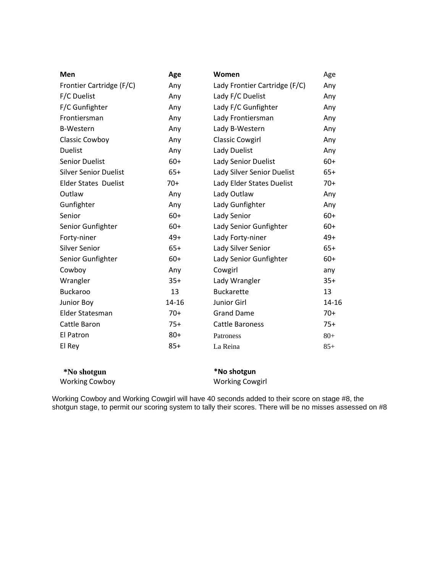| Men                          | Age   | Women                         | Age   |
|------------------------------|-------|-------------------------------|-------|
| Frontier Cartridge (F/C)     | Any   | Lady Frontier Cartridge (F/C) | Any   |
| F/C Duelist                  | Any   | Lady F/C Duelist              | Any   |
| F/C Gunfighter               | Any   | Lady F/C Gunfighter           | Any   |
| Frontiersman                 | Any   | Lady Frontiersman             | Any   |
| <b>B-Western</b>             | Any   | Lady B-Western                | Any   |
| Classic Cowboy               | Any   | <b>Classic Cowgirl</b>        | Any   |
| <b>Duelist</b>               | Any   | Lady Duelist                  | Any   |
| <b>Senior Duelist</b>        | $60+$ | Lady Senior Duelist           | $60+$ |
| <b>Silver Senior Duelist</b> | $65+$ | Lady Silver Senior Duelist    | $65+$ |
| <b>Elder States Duelist</b>  | $70+$ | Lady Elder States Duelist     | $70+$ |
| Outlaw                       | Any   | Lady Outlaw                   | Any   |
| Gunfighter                   | Any   | Lady Gunfighter               | Any   |
| Senior                       | $60+$ | Lady Senior                   | $60+$ |
| Senior Gunfighter            | $60+$ | Lady Senior Gunfighter        | $60+$ |
| Forty-niner                  | $49+$ | Lady Forty-niner              | $49+$ |
| Silver Senior                | $65+$ | Lady Silver Senior            | $65+$ |
| Senior Gunfighter            | $60+$ | Lady Senior Gunfighter        | $60+$ |
| Cowboy                       | Any   | Cowgirl                       | any   |
| Wrangler                     | $35+$ | Lady Wrangler                 | $35+$ |
| <b>Buckaroo</b>              | 13    | <b>Buckarette</b>             | 13    |
| Junior Boy                   | 14-16 | Junior Girl                   | 14-16 |
| Elder Statesman              | $70+$ | <b>Grand Dame</b>             | $70+$ |
| Cattle Baron                 | $75+$ | <b>Cattle Baroness</b>        | $75+$ |
| El Patron                    | $80+$ | Patroness                     | $80+$ |
| El Rey                       | $85+$ | La Reina                      | $85+$ |
|                              |       |                               |       |

| *No shotgun           | *No shotgun            |
|-----------------------|------------------------|
| <b>Working Cowboy</b> | <b>Working Cowgirl</b> |

Working Cowboy and Working Cowgirl will have 40 seconds added to their score on stage #8, the shotgun stage, to permit our scoring system to tally their scores. There will be no misses assessed on #8